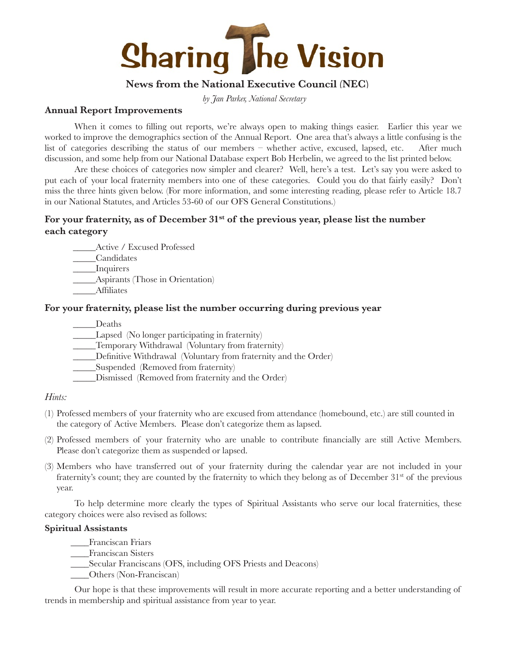

# **News from the National Executive Council (NEC)**

*by Jan Parker, National Secretary*

## **Annual Report Improvements**

When it comes to filling out reports, we're always open to making things easier. Earlier this year we worked to improve the demographics section of the Annual Report. One area that's always a little confusing is the list of categories describing the status of our members – whether active, excused, lapsed, etc. After much discussion, and some help from our National Database expert Bob Herbelin, we agreed to the list printed below.

Are these choices of categories now simpler and clearer? Well, here's a test. Let's say you were asked to put each of your local fraternity members into one of these categories. Could you do that fairly easily? Don't miss the three hints given below. (For more information, and some interesting reading, please refer to Article 18.7 in our National Statutes, and Articles 53-60 of our OFS General Constitutions.)

# For your fraternity, as of December 31<sup>st</sup> of the previous year, please list the number **each category**

\_\_\_\_\_Active / Excused Professed

\_\_\_\_\_Candidates

\_\_\_\_\_Inquirers

\_\_\_\_\_Aspirants (Those in Orientation)

\_\_\_\_\_Affiliates

# **For your fraternity, please list the number occurring during previous year**

\_\_\_\_\_Deaths

\_\_\_\_\_Lapsed (No longer participating in fraternity)

\_\_\_\_\_Temporary Withdrawal (Voluntary from fraternity)

Definitive Withdrawal (Voluntary from fraternity and the Order)

\_\_\_\_\_Suspended (Removed from fraternity)

\_\_\_\_\_Dismissed (Removed from fraternity and the Order)

### *Hints:*

- (1) Professed members of your fraternity who are excused from attendance (homebound, etc.) are still counted in the category of Active Members. Please don't categorize them as lapsed.
- (2) Professed members of your fraternity who are unable to contribute financially are still Active Members. Please don't categorize them as suspended or lapsed.
- (3) Members who have transferred out of your fraternity during the calendar year are not included in your fraternity's count; they are counted by the fraternity to which they belong as of December 31<sup>st</sup> of the previous year.

To help determine more clearly the types of Spiritual Assistants who serve our local fraternities, these category choices were also revised as follows:

# **Spiritual Assistants**

\_\_\_\_Franciscan Friars

\_\_\_\_Franciscan Sisters

\_\_\_\_Secular Franciscans (OFS, including OFS Priests and Deacons)

\_\_\_\_Others (Non-Franciscan)

Our hope is that these improvements will result in more accurate reporting and a better understanding of trends in membership and spiritual assistance from year to year.